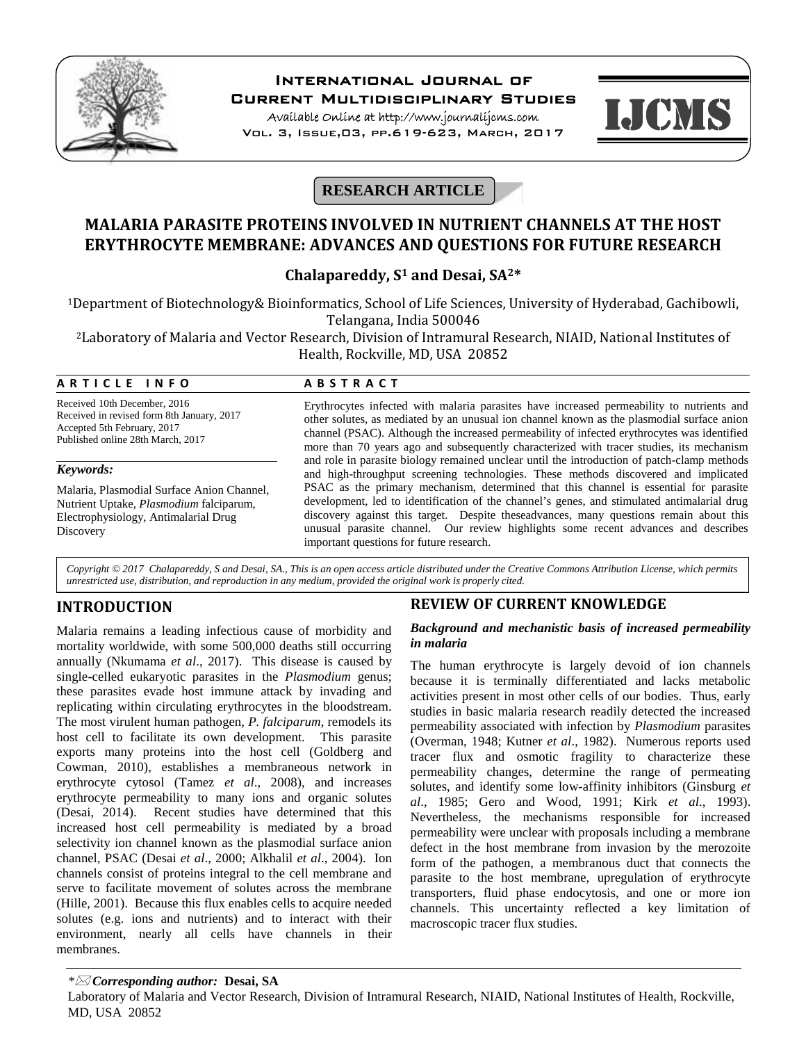

# **International Journal of**

**Current Multidisciplinary Studies**

**Available Online at http://www.journalijcms.com** Vol. 3, Issue,03, pp.619-623, March, 2017



# **RESEARCH ARTICLE**

# **MALARIA PARASITE PROTEINS INVOLVED IN NUTRIENT CHANNELS AT THE HOST ERYTHROCYTE MEMBRANE: ADVANCES AND QUESTIONS FOR FUTURE RESEARCH**

## **Chalapareddy, S<sup>1</sup> and Desai, SA2\***

<sup>1</sup>Department of Biotechnology& Bioinformatics, School of Life Sciences, University of Hyderabad, Gachibowli, Telangana, India 500046

<sup>2</sup>Laboratory of Malaria and Vector Research, Division of Intramural Research, NIAID, National Institutes of Health, Rockville, MD, USA 20852 **Example 18 Telangana, India 500046**<br> **A R T I C L E I N F O**<br> **A B S T R A C T**<br> **Examplement of Malaria and Vector Research, Division of Intramural R**<br> **A B S T R A C T**<br> **A B S T R A C T**<br> **Expthrocytes infected with ma** 

Received 10th December, 2016 Received in revised form 8th January, 2017 Accepted 5th February, 2017 Published online 28th March, 2017

### *Keywords:*

Malaria, Plasmodial Surface Anion Channel, Nutrient Uptake, *Plasmodium* falciparum, Electrophysiology, Antimalarial Drug **Discovery** 

Erythrocytes infected with malaria parasites have increased permeability to nutrients and other solutes, as mediated by an unusual ion channel known as the plasmodial surface anion channel (PSAC). Although the increased permeability of infected erythrocytes was identified more than 70 years ago and subsequently characterized with tracer studies, its mechanism and role in parasite biology remained unclear until the introduction of patch-clamp methods and high-throughput screening technologies. These methods discovered and implicated PSAC as the primary mechanism, determined that this channel is essential for parasite development, led to identification of the channel's genes, and stimulated antimalarial drug discovery against this target. Despite theseadvances, many questions remain about this unusual parasite channel. Our review highlights some recent advances and describes important questions for future research.

*Copyright © 2017 Chalapareddy, S and Desai, SA., This is an open access article distributed under the Creative Commons Attribution License, which permits unrestricted use, distribution, and reproduction in any medium, provided the original work is properly cited.*

# **INTRODUCTION**

Malaria remains a leading infectious cause of morbidity and mortality worldwide, with some 500,000 deaths still occurring annually (Nkumama *et al*., 2017). This disease is caused by single-celled eukaryotic parasites in the *Plasmodium* genus; these parasites evade host immune attack by invading and replicating within circulating erythrocytes in the bloodstream. The most virulent human pathogen, *P. falciparum*, remodels its host cell to facilitate its own development. This parasite exports many proteins into the host cell (Goldberg and Cowman, 2010), establishes a membraneous network in erythrocyte cytosol (Tamez *et al*., 2008), and increases erythrocyte permeability to many ions and organic solutes (Desai, 2014). Recent studies have determined that this increased host cell permeability is mediated by a broad selectivity ion channel known as the plasmodial surface anion channel, PSAC (Desai *et al*., 2000; Alkhalil *et al*., 2004). Ion channels consist of proteins integral to the cell membrane and serve to facilitate movement of solutes across the membrane (Hille, 2001). Because this flux enables cells to acquire needed solutes (e.g. ions and nutrients) and to interact with their environment, nearly all cells have channels in their membranes.

## **REVIEW OF CURRENT KNOWLEDGE**

## *Background and mechanistic basis of increased permeability in malaria*

The human erythrocyte is largely devoid of ion channels because it is terminally differentiated and lacks metabolic activities present in most other cells of our bodies. Thus, early studies in basic malaria research readily detected the increased permeability associated with infection by *Plasmodium* parasites (Overman, 1948; Kutner *et al*., 1982). Numerous reports used tracer flux and osmotic fragility to characterize these permeability changes, determine the range of permeating solutes, and identify some low-affinity inhibitors (Ginsburg *et al*., 1985; Gero and Wood, 1991; Kirk *et al*., 1993). Nevertheless, the mechanisms responsible for increased permeability were unclear with proposals including a membrane defect in the host membrane from invasion by the merozoite form of the pathogen, a membranous duct that connects the parasite to the host membrane, upregulation of erythrocyte transporters, fluid phase endocytosis, and one or more ion channels. This uncertainty reflected a key limitation of macroscopic tracer flux studies.

## *\* Corresponding author:* **Desai, SA**

Laboratory of Malaria and Vector Research, Division of Intramural Research, NIAID, National Institutes of Health, Rockville, MD, USA 20852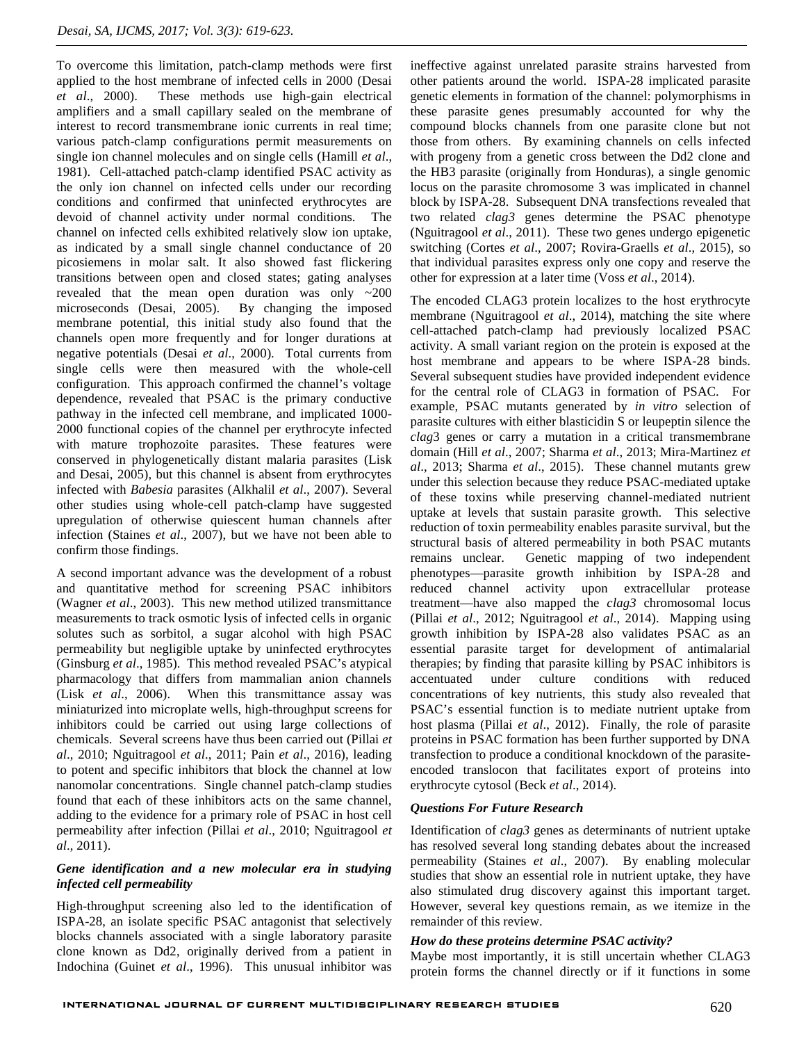To overcome this limitation, patch-clamp methods were first applied to the host membrane of infected cells in 2000 (Desai *et al*., 2000). These methods use high-gain electrical amplifiers and a small capillary sealed on the membrane of interest to record transmembrane ionic currents in real time; various patch-clamp configurations permit measurements on single ion channel molecules and on single cells (Hamill *et al*., 1981). Cell-attached patch-clamp identified PSAC activity as the only ion channel on infected cells under our recording conditions and confirmed that uninfected erythrocytes are devoid of channel activity under normal conditions. The channel on infected cells exhibited relatively slow ion uptake, as indicated by a small single channel conductance of 20 picosiemens in molar salt. It also showed fast flickering transitions between open and closed states; gating analyses revealed that the mean open duration was only ~200 microseconds (Desai, 2005). By changing the imposed membrane potential, this initial study also found that the channels open more frequently and for longer durations at negative potentials (Desai *et al*., 2000). Total currents from single cells were then measured with the whole-cell configuration. This approach confirmed the channel's voltage dependence, revealed that PSAC is the primary conductive pathway in the infected cell membrane, and implicated 1000- 2000 functional copies of the channel per erythrocyte infected with mature trophozoite parasites. These features were conserved in phylogenetically distant malaria parasites (Lisk and Desai, 2005), but this channel is absent from erythrocytes infected with *Babesia* parasites (Alkhalil *et al*., 2007). Several other studies using whole-cell patch-clamp have suggested upregulation of otherwise quiescent human channels after infection (Staines *et al*., 2007), but we have not been able to confirm those findings.

A second important advance was the development of a robust and quantitative method for screening PSAC inhibitors (Wagner *et al*., 2003). This new method utilized transmittance measurements to track osmotic lysis of infected cells in organic solutes such as sorbitol, a sugar alcohol with high PSAC permeability but negligible uptake by uninfected erythrocytes (Ginsburg *et al*., 1985). This method revealed PSAC's atypical pharmacology that differs from mammalian anion channels (Lisk *et al*., 2006). When this transmittance assay was miniaturized into microplate wells, high-throughput screens for inhibitors could be carried out using large collections of chemicals. Several screens have thus been carried out (Pillai *et al*., 2010; Nguitragool *et al*., 2011; Pain *et al*., 2016), leading to potent and specific inhibitors that block the channel at low nanomolar concentrations. Single channel patch-clamp studies found that each of these inhibitors acts on the same channel, adding to the evidence for a primary role of PSAC in host cell permeability after infection (Pillai *et al*., 2010; Nguitragool *et al*., 2011).

## *Gene identification and a new molecular era in studying infected cell permeability*

High-throughput screening also led to the identification of ISPA-28, an isolate specific PSAC antagonist that selectively blocks channels associated with a single laboratory parasite clone known as Dd2, originally derived from a patient in Indochina (Guinet *et al*., 1996). This unusual inhibitor was

ineffective against unrelated parasite strains harvested from other patients around the world. ISPA-28 implicated parasite genetic elements in formation of the channel: polymorphisms in these parasite genes presumably accounted for why the compound blocks channels from one parasite clone but not those from others. By examining channels on cells infected with progeny from a genetic cross between the Dd2 clone and the HB3 parasite (originally from Honduras), a single genomic locus on the parasite chromosome 3 was implicated in channel block by ISPA-28. Subsequent DNA transfections revealed that two related *clag3* genes determine the PSAC phenotype (Nguitragool *et al*., 2011). These two genes undergo epigenetic switching (Cortes *et al*., 2007; Rovira-Graells *et al*., 2015), so that individual parasites express only one copy and reserve the other for expression at a later time (Voss *et al*., 2014).

The encoded CLAG3 protein localizes to the host erythrocyte membrane (Nguitragool *et al*., 2014), matching the site where cell-attached patch-clamp had previously localized PSAC activity. A small variant region on the protein is exposed at the host membrane and appears to be where ISPA-28 binds. Several subsequent studies have provided independent evidence for the central role of CLAG3 in formation of PSAC. For example, PSAC mutants generated by *in vitro* selection of parasite cultures with either blasticidin S or leupeptin silence the *clag*3 genes or carry a mutation in a critical transmembrane domain (Hill *et al*., 2007; Sharma *et al*., 2013; Mira-Martinez *et al*., 2013; Sharma *et al*., 2015). These channel mutants grew under this selection because they reduce PSAC-mediated uptake of these toxins while preserving channel-mediated nutrient uptake at levels that sustain parasite growth. This selective reduction of toxin permeability enables parasite survival, but the structural basis of altered permeability in both PSAC mutants remains unclear. Genetic mapping of two independent phenotypes—parasite growth inhibition by ISPA-28 and reduced channel activity upon extracellular protease treatment—have also mapped the *clag3* chromosomal locus (Pillai *et al*., 2012; Nguitragool *et al*., 2014). Mapping using growth inhibition by ISPA-28 also validates PSAC as an essential parasite target for development of antimalarial therapies; by finding that parasite killing by PSAC inhibitors is accentuated under culture conditions with reduced concentrations of key nutrients, this study also revealed that PSAC's essential function is to mediate nutrient uptake from host plasma (Pillai *et al*., 2012). Finally, the role of parasite proteins in PSAC formation has been further supported by DNA transfection to produce a conditional knockdown of the parasite encoded translocon that facilitates export of proteins into erythrocyte cytosol (Beck *et al*., 2014).

## *Questions For Future Research*

Identification of *clag3* genes as determinants of nutrient uptake has resolved several long standing debates about the increased permeability (Staines *et al*., 2007). By enabling molecular studies that show an essential role in nutrient uptake, they have also stimulated drug discovery against this important target. However, several key questions remain, as we itemize in the remainder of this review.

### *How do these proteins determine PSAC activity?*

Maybe most importantly, it is still uncertain whether CLAG3 protein forms the channel directly or if it functions in some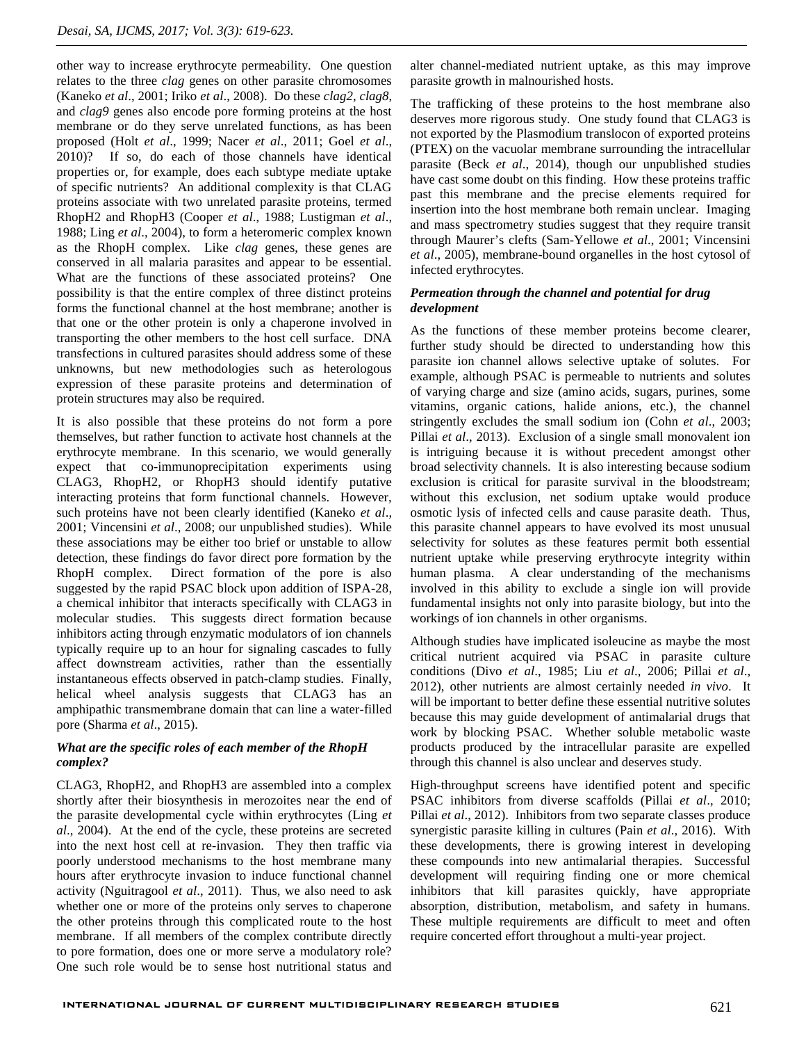other way to increase erythrocyte permeability. One question relates to the three *clag* genes on other parasite chromosomes (Kaneko *et al*., 2001; Iriko *et al*., 2008). Do these *clag2*, *clag8*, and *clag9* genes also encode pore forming proteins at the host membrane or do they serve unrelated functions, as has been proposed (Holt *et al*., 1999; Nacer *et al*., 2011; Goel *et al*., 2010)? If so, do each of those channels have identical properties or, for example, does each subtype mediate uptake of specific nutrients? An additional complexity is that CLAG proteins associate with two unrelated parasite proteins, termed RhopH2 and RhopH3 (Cooper *et al*., 1988; Lustigman *et al*., 1988; Ling *et al*., 2004), to form a heteromeric complex known as the RhopH complex. Like *clag* genes, these genes are conserved in all malaria parasites and appear to be essential. What are the functions of these associated proteins? One possibility is that the entire complex of three distinct proteins forms the functional channel at the host membrane; another is that one or the other protein is only a chaperone involved in transporting the other members to the host cell surface. DNA transfections in cultured parasites should address some of these unknowns, but new methodologies such as heterologous expression of these parasite proteins and determination of protein structures may also be required.

It is also possible that these proteins do not form a pore themselves, but rather function to activate host channels at the erythrocyte membrane. In this scenario, we would generally expect that co-immunoprecipitation experiments using CLAG3, RhopH2, or RhopH3 should identify putative interacting proteins that form functional channels. However, such proteins have not been clearly identified (Kaneko *et al*., 2001; Vincensini *et al*., 2008; our unpublished studies). While these associations may be either too brief or unstable to allow detection, these findings do favor direct pore formation by the RhopH complex. Direct formation of the pore is also suggested by the rapid PSAC block upon addition of ISPA-28, a chemical inhibitor that interacts specifically with CLAG3 in molecular studies. This suggests direct formation because inhibitors acting through enzymatic modulators of ion channels typically require up to an hour for signaling cascades to fully affect downstream activities, rather than the essentially instantaneous effects observed in patch-clamp studies. Finally, helical wheel analysis suggests that CLAG3 has an amphipathic transmembrane domain that can line a water-filled pore (Sharma *et al*., 2015).

### *What are the specific roles of each member of the RhopH complex?*

CLAG3, RhopH2, and RhopH3 are assembled into a complex shortly after their biosynthesis in merozoites near the end of the parasite developmental cycle within erythrocytes (Ling *et al*., 2004). At the end of the cycle, these proteins are secreted into the next host cell at re-invasion. They then traffic via poorly understood mechanisms to the host membrane many hours after erythrocyte invasion to induce functional channel activity (Nguitragool *et al*., 2011). Thus, we also need to ask whether one or more of the proteins only serves to chaperone the other proteins through this complicated route to the host membrane. If all members of the complex contribute directly to pore formation, does one or more serve a modulatory role? One such role would be to sense host nutritional status and

alter channel-mediated nutrient uptake, as this may improve parasite growth in malnourished hosts.

The trafficking of these proteins to the host membrane also deserves more rigorous study. One study found that CLAG3 is not exported by the Plasmodium translocon of exported proteins (PTEX) on the vacuolar membrane surrounding the intracellular parasite (Beck *et al*., 2014), though our unpublished studies have cast some doubt on this finding. How these proteins traffic past this membrane and the precise elements required for insertion into the host membrane both remain unclear. Imaging and mass spectrometry studies suggest that they require transit through Maurer's clefts (Sam-Yellowe *et al*., 2001; Vincensini *et al*., 2005), membrane-bound organelles in the host cytosol of infected erythrocytes.

## *Permeation through the channel and potential for drug development*

As the functions of these member proteins become clearer, further study should be directed to understanding how this parasite ion channel allows selective uptake of solutes. For example, although PSAC is permeable to nutrients and solutes of varying charge and size (amino acids, sugars, purines, some vitamins, organic cations, halide anions, etc.), the channel stringently excludes the small sodium ion (Cohn *et al*., 2003; Pillai *et al*., 2013). Exclusion of a single small monovalent ion is intriguing because it is without precedent amongst other broad selectivity channels. It is also interesting because sodium exclusion is critical for parasite survival in the bloodstream; without this exclusion, net sodium uptake would produce osmotic lysis of infected cells and cause parasite death. Thus, this parasite channel appears to have evolved its most unusual selectivity for solutes as these features permit both essential nutrient uptake while preserving erythrocyte integrity within human plasma. A clear understanding of the mechanisms involved in this ability to exclude a single ion will provide fundamental insights not only into parasite biology, but into the workings of ion channels in other organisms.

Although studies have implicated isoleucine as maybe the most critical nutrient acquired via PSAC in parasite culture conditions (Divo *et al*., 1985; Liu *et al*., 2006; Pillai *et al*., 2012), other nutrients are almost certainly needed *in vivo*. It will be important to better define these essential nutritive solutes because this may guide development of antimalarial drugs that work by blocking PSAC. Whether soluble metabolic waste products produced by the intracellular parasite are expelled through this channel is also unclear and deserves study.

High-throughput screens have identified potent and specific PSAC inhibitors from diverse scaffolds (Pillai *et al*., 2010; Pillai *et al*., 2012). Inhibitors from two separate classes produce synergistic parasite killing in cultures (Pain *et al*., 2016). With these developments, there is growing interest in developing these compounds into new antimalarial therapies. Successful development will requiring finding one or more chemical inhibitors that kill parasites quickly, have appropriate absorption, distribution, metabolism, and safety in humans. These multiple requirements are difficult to meet and often require concerted effort throughout a multi-year project.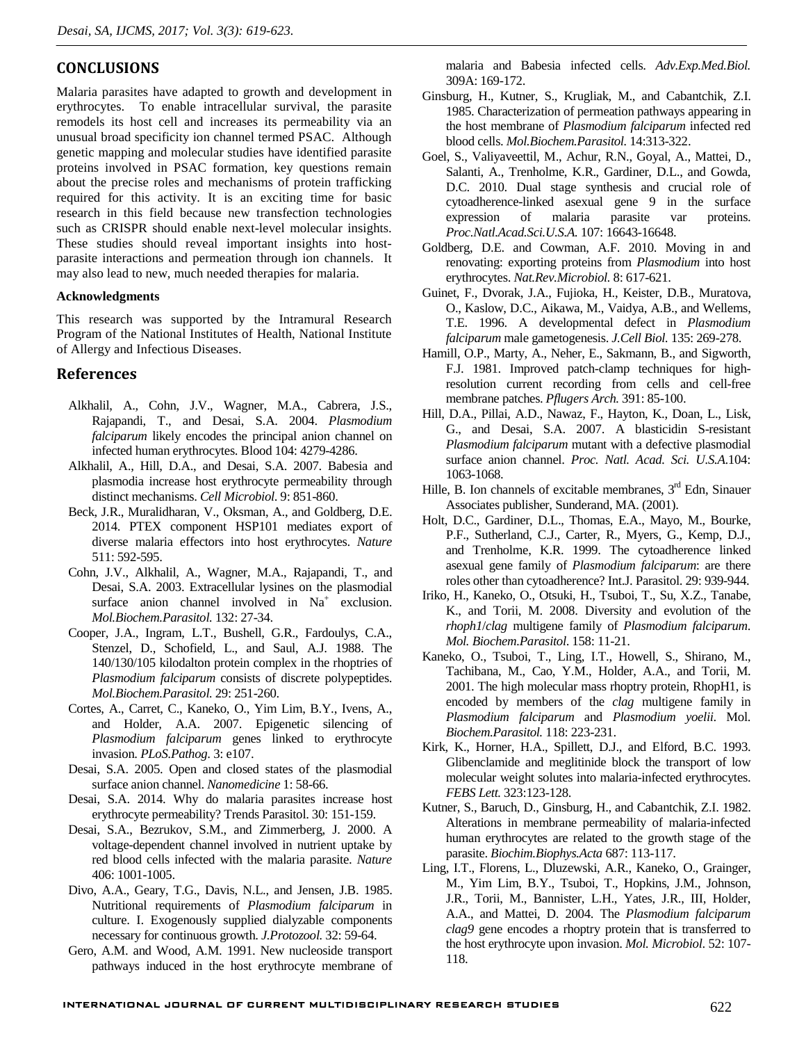## **CONCLUSIONS**

Malaria parasites have adapted to growth and development in erythrocytes. To enable intracellular survival, the parasite remodels its host cell and increases its permeability via an unusual broad specificity ion channel termed PSAC. Although genetic mapping and molecular studies have identified parasite proteins involved in PSAC formation, key questions remain about the precise roles and mechanisms of protein trafficking required for this activity. It is an exciting time for basic research in this field because new transfection technologies such as CRISPR should enable next-level molecular insights. These studies should reveal important insights into host parasite interactions and permeation through ion channels. It may also lead to new, much needed therapies for malaria.

#### **Acknowledgments**

This research was supported by the Intramural Research Program of the National Institutes of Health, National Institute of Allergy and Infectious Diseases.

## **References**

- Alkhalil, A., Cohn, J.V., Wagner, M.A., Cabrera, J.S., Rajapandi, T., and Desai, S.A. 2004. *Plasmodium falciparum* likely encodes the principal anion channel on infected human erythrocytes. Blood 104: 4279-4286.
- Alkhalil, A., Hill, D.A., and Desai, S.A. 2007. Babesia and plasmodia increase host erythrocyte permeability through distinct mechanisms. *Cell Microbiol*. 9: 851-860.
- Beck, J.R., Muralidharan, V., Oksman, A., and Goldberg, D.E. 2014. PTEX component HSP101 mediates export of diverse malaria effectors into host erythrocytes. *Nature* 511: 592-595.
- Cohn, J.V., Alkhalil, A., Wagner, M.A., Rajapandi, T., and Desai, S.A. 2003. Extracellular lysines on the plasmodial surface anion channel involved in  $Na<sup>+</sup>$  exclusion. *Mol.Biochem.Parasitol.* 132: 27-34.
- Cooper, J.A., Ingram, L.T., Bushell, G.R., Fardoulys, C.A., Stenzel, D., Schofield, L., and Saul, A.J. 1988. The 140/130/105 kilodalton protein complex in the rhoptries of *Plasmodium falciparum* consists of discrete polypeptides. *Mol.Biochem.Parasitol.* 29: 251-260.
- Cortes, A., Carret, C., Kaneko, O., Yim Lim, B.Y., Ivens, A., and Holder, A.A. 2007. Epigenetic silencing of *Plasmodium falciparum* genes linked to erythrocyte invasion. *PLoS.Pathog*. 3: e107.
- Desai, S.A. 2005. Open and closed states of the plasmodial surface anion channel. *Nanomedicine* 1: 58-66.
- Desai, S.A. 2014. Why do malaria parasites increase host erythrocyte permeability? Trends Parasitol. 30: 151-159.
- Desai, S.A., Bezrukov, S.M., and Zimmerberg, J. 2000. A voltage-dependent channel involved in nutrient uptake by red blood cells infected with the malaria parasite. *Nature* 406: 1001-1005.
- Divo, A.A., Geary, T.G., Davis, N.L., and Jensen, J.B. 1985. Nutritional requirements of *Plasmodium falciparum* in culture. I. Exogenously supplied dialyzable components necessary for continuous growth. *J.Protozool.* 32: 59-64.
- Gero, A.M. and Wood, A.M. 1991. New nucleoside transport pathways induced in the host erythrocyte membrane of

malaria and Babesia infected cells. *Adv.Exp.Med.Biol.* 309A: 169-172.

- Ginsburg, H., Kutner, S., Krugliak, M., and Cabantchik, Z.I. 1985. Characterization of permeation pathways appearing in the host membrane of *Plasmodium falciparum* infected red blood cells. *Mol.Biochem.Parasitol.* 14:313-322.
- Goel, S., Valiyaveettil, M., Achur, R.N., Goyal, A., Mattei, D., Salanti, A., Trenholme, K.R., Gardiner, D.L., and Gowda, D.C. 2010. Dual stage synthesis and crucial role of cytoadherence-linked asexual gene 9 in the surface expression of malaria parasite var proteins. *Proc.Natl.Acad.Sci.U.S.A.* 107: 16643-16648.
- Goldberg, D.E. and Cowman, A.F. 2010. Moving in and renovating: exporting proteins from *Plasmodium* into host erythrocytes. *Nat.Rev.Microbiol.* 8: 617-621.
- Guinet, F., Dvorak, J.A., Fujioka, H., Keister, D.B., Muratova, O., Kaslow, D.C., Aikawa, M., Vaidya, A.B., and Wellems, T.E. 1996. A developmental defect in *Plasmodium falciparum* male gametogenesis. *J.Cell Biol.* 135: 269-278.
- Hamill, O.P., Marty, A., Neher, E., Sakmann, B., and Sigworth, F.J. 1981. Improved patch-clamp techniques for highresolution current recording from cells and cell-free membrane patches. *Pflugers Arch.* 391: 85-100.
- Hill, D.A., Pillai, A.D., Nawaz, F., Hayton, K., Doan, L., Lisk, G., and Desai, S.A. 2007. A blasticidin S-resistant *Plasmodium falciparum* mutant with a defective plasmodial surface anion channel. *Proc. Natl. Acad. Sci. U.S.A*.104: 1063-1068.
- Hille, B. Ion channels of excitable membranes,  $3<sup>rd</sup>$  Edn, Sinauer Associates publisher, Sunderand, MA. (2001).
- Holt, D.C., Gardiner, D.L., Thomas, E.A., Mayo, M., Bourke, P.F., Sutherland, C.J., Carter, R., Myers, G., Kemp, D.J., and Trenholme, K.R. 1999. The cytoadherence linked asexual gene family of *Plasmodium falciparum*: are there roles other than cytoadherence? Int.J. Parasitol. 29: 939-944.
- Iriko, H., Kaneko, O., Otsuki, H., Tsuboi, T., Su, X.Z., Tanabe, K., and Torii, M. 2008. Diversity and evolution of the *rhoph1*/*clag* multigene family of *Plasmodium falciparum*. *Mol. Biochem.Parasitol*. 158: 11-21.
- Kaneko, O., Tsuboi, T., Ling, I.T., Howell, S., Shirano, M., Tachibana, M., Cao, Y.M., Holder, A.A., and Torii, M. 2001. The high molecular mass rhoptry protein, RhopH1, is encoded by members of the *clag* multigene family in *Plasmodium falciparum* and *Plasmodium yoelii*. Mol. *Biochem.Parasitol.* 118: 223-231.
- Kirk, K., Horner, H.A., Spillett, D.J., and Elford, B.C. 1993. Glibenclamide and meglitinide block the transport of low molecular weight solutes into malaria-infected erythrocytes. *FEBS Lett.* 323:123-128.
- Kutner, S., Baruch, D., Ginsburg, H., and Cabantchik, Z.I. 1982. Alterations in membrane permeability of malaria-infected human erythrocytes are related to the growth stage of the parasite. *Biochim.Biophys.Acta* 687: 113-117.
- Ling, I.T., Florens, L., Dluzewski, A.R., Kaneko, O., Grainger, M., Yim Lim, B.Y., Tsuboi, T., Hopkins, J.M., Johnson, J.R., Torii, M., Bannister, L.H., Yates, J.R., III, Holder, A.A., and Mattei, D. 2004. The *Plasmodium falciparum clag9* gene encodes a rhoptry protein that is transferred to the host erythrocyte upon invasion. *Mol. Microbiol*. 52: 107- 118.